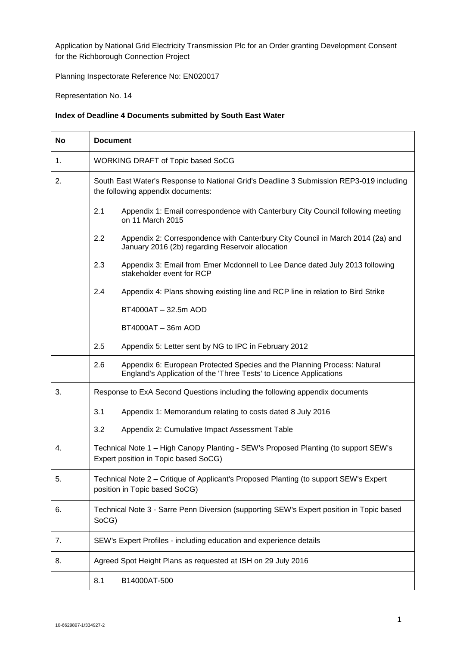Application by National Grid Electricity Transmission Plc for an Order granting Development Consent for the Richborough Connection Project

Planning Inspectorate Reference No: EN020017

Representation No. 14

## **Index of Deadline 4 Documents submitted by South East Water**

| <b>No</b> | <b>Document</b>                                                                                                                                       |  |  |
|-----------|-------------------------------------------------------------------------------------------------------------------------------------------------------|--|--|
| 1.        | <b>WORKING DRAFT of Topic based SoCG</b>                                                                                                              |  |  |
| 2.        | South East Water's Response to National Grid's Deadline 3 Submission REP3-019 including<br>the following appendix documents:                          |  |  |
|           | 2.1<br>Appendix 1: Email correspondence with Canterbury City Council following meeting<br>on 11 March 2015                                            |  |  |
|           | 2.2<br>Appendix 2: Correspondence with Canterbury City Council in March 2014 (2a) and<br>January 2016 (2b) regarding Reservoir allocation             |  |  |
|           | 2.3<br>Appendix 3: Email from Emer Mcdonnell to Lee Dance dated July 2013 following<br>stakeholder event for RCP                                      |  |  |
|           | 2.4<br>Appendix 4: Plans showing existing line and RCP line in relation to Bird Strike                                                                |  |  |
|           | BT4000AT - 32.5m AOD                                                                                                                                  |  |  |
|           | BT4000AT - 36m AOD                                                                                                                                    |  |  |
|           | 2.5<br>Appendix 5: Letter sent by NG to IPC in February 2012                                                                                          |  |  |
|           | 2.6<br>Appendix 6: European Protected Species and the Planning Process: Natural<br>England's Application of the 'Three Tests' to Licence Applications |  |  |
| 3.        | Response to ExA Second Questions including the following appendix documents                                                                           |  |  |
|           | 3.1<br>Appendix 1: Memorandum relating to costs dated 8 July 2016                                                                                     |  |  |
|           | 3.2<br>Appendix 2: Cumulative Impact Assessment Table                                                                                                 |  |  |
| 4.        | Technical Note 1 - High Canopy Planting - SEW's Proposed Planting (to support SEW's<br>Expert position in Topic based SoCG)                           |  |  |
| 5.        | Technical Note 2 - Critique of Applicant's Proposed Planting (to support SEW's Expert<br>position in Topic based SoCG)                                |  |  |
| 6.        | Technical Note 3 - Sarre Penn Diversion (supporting SEW's Expert position in Topic based<br>SoCG)                                                     |  |  |
| 7.        | SEW's Expert Profiles - including education and experience details                                                                                    |  |  |
| 8.        | Agreed Spot Height Plans as requested at ISH on 29 July 2016                                                                                          |  |  |
|           | 8.1<br>B14000AT-500                                                                                                                                   |  |  |